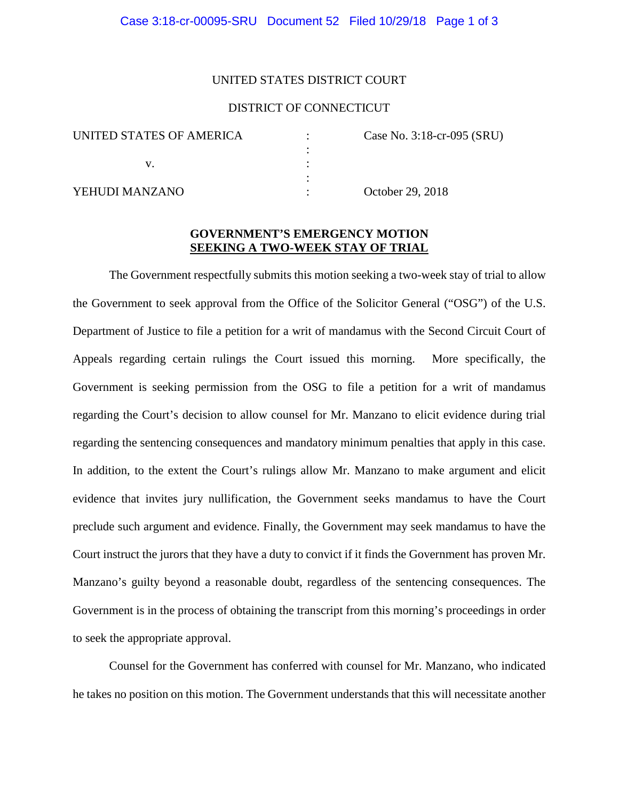#### UNITED STATES DISTRICT COURT

### DISTRICT OF CONNECTICUT

:

:

| UNITED STATES OF AMERICA |  |
|--------------------------|--|
|                          |  |
|                          |  |

 $\text{Case No. } 3:18\text{-cr}-0.95 \text{ (SRU)}$ 

YEHUDI MANZANO : October 29, 2018

## **GOVERNMENT'S EMERGENCY MOTION SEEKING A TWO-WEEK STAY OF TRIAL**

The Government respectfully submits this motion seeking a two-week stay of trial to allow the Government to seek approval from the Office of the Solicitor General ("OSG") of the U.S. Department of Justice to file a petition for a writ of mandamus with the Second Circuit Court of Appeals regarding certain rulings the Court issued this morning. More specifically, the Government is seeking permission from the OSG to file a petition for a writ of mandamus regarding the Court's decision to allow counsel for Mr. Manzano to elicit evidence during trial regarding the sentencing consequences and mandatory minimum penalties that apply in this case. In addition, to the extent the Court's rulings allow Mr. Manzano to make argument and elicit evidence that invites jury nullification, the Government seeks mandamus to have the Court preclude such argument and evidence. Finally, the Government may seek mandamus to have the Court instruct the jurors that they have a duty to convict if it finds the Government has proven Mr. Manzano's guilty beyond a reasonable doubt, regardless of the sentencing consequences. The Government is in the process of obtaining the transcript from this morning's proceedings in order to seek the appropriate approval.

Counsel for the Government has conferred with counsel for Mr. Manzano, who indicated he takes no position on this motion. The Government understands that this will necessitate another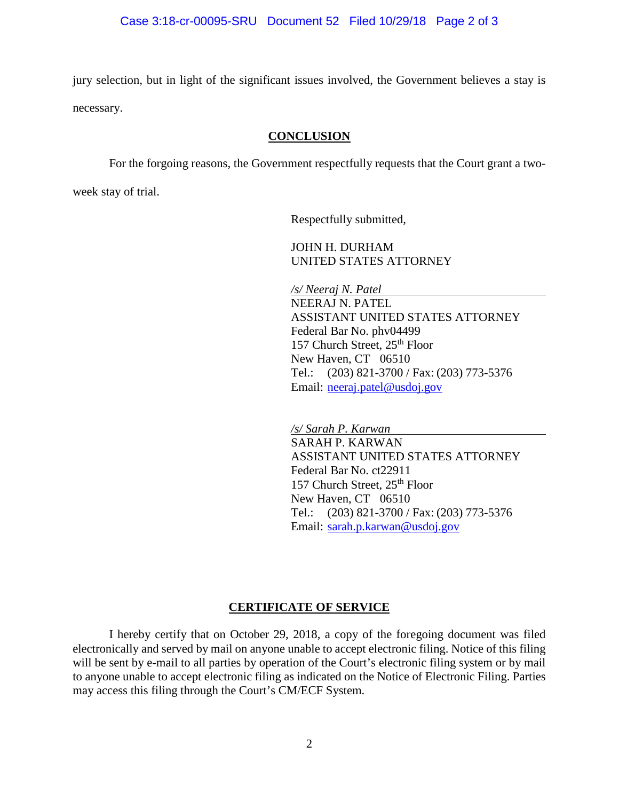jury selection, but in light of the significant issues involved, the Government believes a stay is necessary.

### **CONCLUSION**

For the forgoing reasons, the Government respectfully requests that the Court grant a two-

week stay of trial.

Respectfully submitted,

JOHN H. DURHAM UNITED STATES ATTORNEY

*/s/ Neeraj N. Patel*  NEERAJ N. PATEL ASSISTANT UNITED STATES ATTORNEY Federal Bar No. phv04499 157 Church Street, 25<sup>th</sup> Floor New Haven, CT 06510 Tel.: (203) 821-3700 / Fax: (203) 773-5376 Email: [neeraj.patel@usdoj.gov](mailto:neeraj.patel@usdoj.gov)

*/s/ Sarah P. Karwan*  SARAH P. KARWAN ASSISTANT UNITED STATES ATTORNEY Federal Bar No. ct22911 157 Church Street, 25<sup>th</sup> Floor New Haven, CT 06510 Tel.: (203) 821-3700 / Fax: (203) 773-5376 Email: [sarah.p.karwan@usdoj.gov](mailto:sarah.p.karwan@usdoj.gov)

# **CERTIFICATE OF SERVICE**

I hereby certify that on October 29, 2018, a copy of the foregoing document was filed electronically and served by mail on anyone unable to accept electronic filing. Notice of this filing will be sent by e-mail to all parties by operation of the Court's electronic filing system or by mail to anyone unable to accept electronic filing as indicated on the Notice of Electronic Filing. Parties may access this filing through the Court's CM/ECF System.